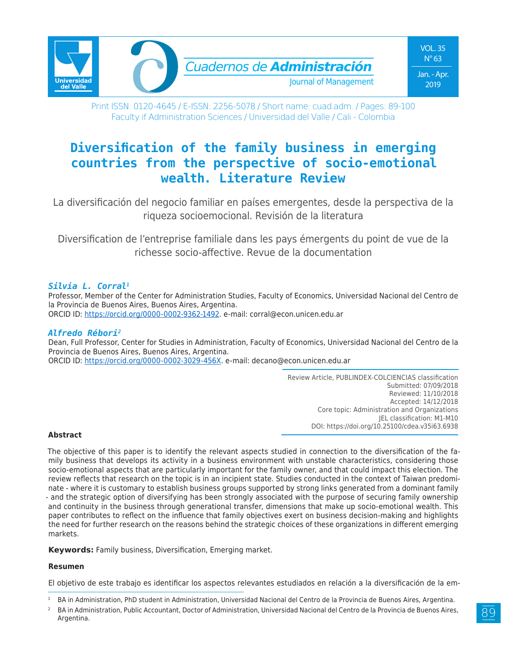

Print ISSN: 0120-4645 / E-ISSN: 2256-5078 / Short name: cuad.adm. / Pages: 89-100 Faculty if Administration Sciences / Universidad del Valle / Cali - Colombia

# **Diversification of the family business in emerging countries from the perspective of socio-emotional wealth. Literature Review**

La diversificación del negocio familiar en países emergentes, desde la perspectiva de la riqueza socioemocional. Revisión de la literatura

Diversification de l'entreprise familiale dans les pays émergents du point de vue de la richesse socio-affective. Revue de la documentation

#### *Silvia L. Corral1*

Professor, Member of the Center for Administration Studies, Faculty of Economics, Universidad Nacional del Centro de la Provincia de Buenos Aires, Buenos Aires, Argentina. ORCID ID: https://orcid.org/0000-0002-9362-1492. e-mail: corral@econ.unicen.edu.ar

#### *Alfredo Rébori2*

Dean, Full Professor, Center for Studies in Administration, Faculty of Economics, Universidad Nacional del Centro de la Provincia de Buenos Aires, Buenos Aires, Argentina. ORCID ID: https://orcid.org/0000-0002-3029-456X. e-mail: decano@econ.unicen.edu.ar

> Review Article, PUBLINDEX-COLCIENCIAS classification Submitted: 07/09/2018 Reviewed: 11/10/2018 Accepted: 14/12/2018 Core topic: Administration and Organizations JEL classification: M1-M10 DOI: https://doi.org/10.25100/cdea.v35i63.6938

#### **Abstract**

The objective of this paper is to identify the relevant aspects studied in connection to the diversification of the family business that develops its activity in a business environment with unstable characteristics, considering those socio-emotional aspects that are particularly important for the family owner, and that could impact this election. The review reflects that research on the topic is in an incipient state. Studies conducted in the context of Taiwan predominate - where it is customary to establish business groups supported by strong links generated from a dominant family - and the strategic option of diversifying has been strongly associated with the purpose of securing family ownership and continuity in the business through generational transfer, dimensions that make up socio-emotional wealth. This paper contributes to reflect on the influence that family objectives exert on business decision-making and highlights the need for further research on the reasons behind the strategic choices of these organizations in different emerging markets.

**Keywords:** Family business, Diversification, Emerging market.

#### **Resumen**

El objetivo de este trabajo es identificar los aspectos relevantes estudiados en relación a la diversificación de la em-

<sup>1</sup> BA in Administration, PhD student in Administration, Universidad Nacional del Centro de la Provincia de Buenos Aires, Argentina.

<sup>2</sup> BA in Administration, Public Accountant, Doctor of Administration, Universidad Nacional del Centro de la Provincia de Buenos Aires, Argentina.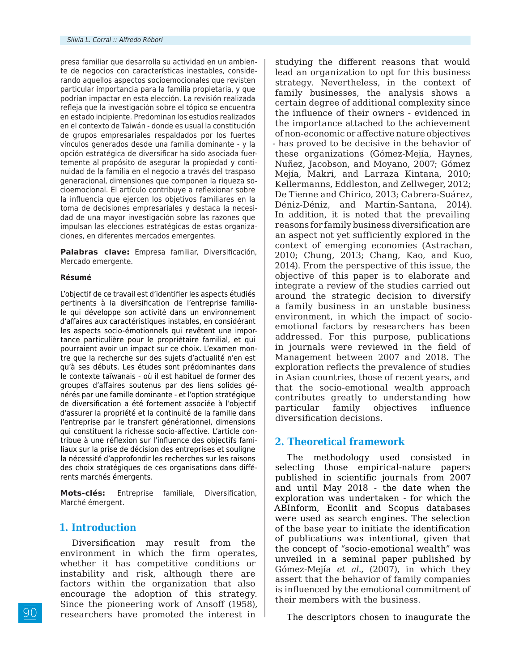presa familiar que desarrolla su actividad en un ambiente de negocios con características inestables, considerando aquellos aspectos socioemocionales que revisten particular importancia para la familia propietaria, y que podrían impactar en esta elección. La revisión realizada refleja que la investigación sobre el tópico se encuentra en estado incipiente. Predominan los estudios realizados en el contexto de Taiwán - donde es usual la constitución de grupos empresariales respaldados por los fuertes vínculos generados desde una familia dominante - y la opción estratégica de diversificar ha sido asociada fuertemente al propósito de asegurar la propiedad y continuidad de la familia en el negocio a través del traspaso generacional, dimensiones que componen la riqueza socioemocional. El artículo contribuye a reflexionar sobre la influencia que ejercen los objetivos familiares en la toma de decisiones empresariales y destaca la necesidad de una mayor investigación sobre las razones que impulsan las elecciones estratégicas de estas organizaciones, en diferentes mercados emergentes.

**Palabras clave:** Empresa familiar, Diversificación, Mercado emergente.

#### **Résumé**

L'objectif de ce travail est d'identifier les aspects étudiés pertinents à la diversification de l'entreprise familiale qui développe son activité dans un environnement d'affaires aux caractéristiques instables, en considérant les aspects socio-émotionnels qui revêtent une importance particulière pour le propriétaire familial, et qui pourraient avoir un impact sur ce choix. L'examen montre que la recherche sur des sujets d'actualité n'en est qu'à ses débuts. Les études sont prédominantes dans le contexte taïwanais - où il est habituel de former des groupes d'affaires soutenus par des liens solides générés par une famille dominante - et l'option stratégique de diversification a été fortement associée à l'objectif d'assurer la propriété et la continuité de la famille dans l'entreprise par le transfert générationnel, dimensions qui constituent la richesse socio-affective. L'article contribue à une réflexion sur l'influence des objectifs familiaux sur la prise de décision des entreprises et souligne la nécessité d'approfondir les recherches sur les raisons des choix stratégiques de ces organisations dans différents marchés émergents.

**Mots-clés:** Entreprise familiale, Diversification, Marché émergent.

# **1. Introduction**

Diversification may result from the environment in which the firm operates, whether it has competitive conditions or instability and risk, although there are factors within the organization that also encourage the adoption of this strategy. Since the pioneering work of Ansoff (1958), researchers have promoted the interest in

studying the different reasons that would lead an organization to opt for this business strategy. Nevertheless, in the context of family businesses, the analysis shows a certain degree of additional complexity since the influence of their owners - evidenced in the importance attached to the achievement of non-economic or affective nature objectives - has proved to be decisive in the behavior of these organizations (Gómez-Mejía, Haynes, Nuñez, Jacobson, and Moyano, 2007; Gómez Mejía, Makri, and Larraza Kintana, 2010; Kellermanns, Eddleston, and Zellweger, 2012; De Tienne and Chirico, 2013; Cabrera-Suárez, Déniz-Déniz, and Martín-Santana, 2014). In addition, it is noted that the prevailing reasons for family business diversification are an aspect not yet sufficiently explored in the context of emerging economies (Astrachan, 2010; Chung, 2013; Chang, Kao, and Kuo, 2014). From the perspective of this issue, the objective of this paper is to elaborate and integrate a review of the studies carried out around the strategic decision to diversify a family business in an unstable business environment, in which the impact of socioemotional factors by researchers has been addressed. For this purpose, publications in journals were reviewed in the field of Management between 2007 and 2018. The exploration reflects the prevalence of studies in Asian countries, those of recent years, and that the socio-emotional wealth approach contributes greatly to understanding how particular family objectives influence diversification decisions.

# **2. Theoretical framework**

The methodology used consisted in selecting those empirical-nature papers published in scientific journals from 2007 and until May 2018 - the date when the exploration was undertaken - for which the ABInform, Econlit and Scopus databases were used as search engines. The selection of the base year to initiate the identification of publications was intentional, given that the concept of "socio-emotional wealth" was unveiled in a seminal paper published by Gómez-Mejía *et al.,* (2007), in which they assert that the behavior of family companies is influenced by the emotional commitment of their members with the business.

The descriptors chosen to inaugurate the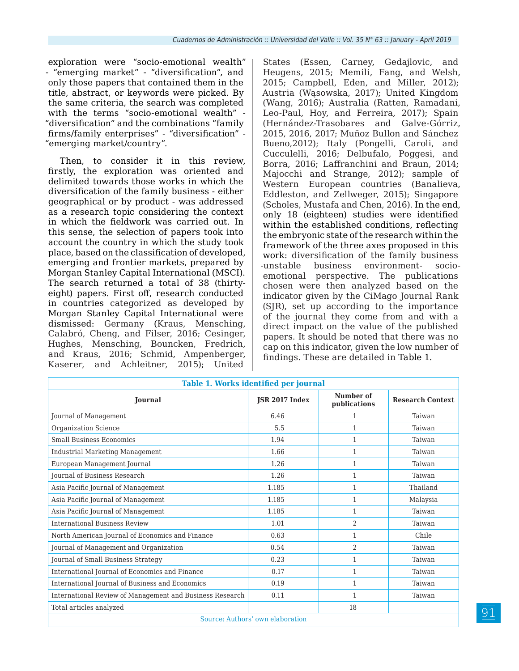exploration were "socio-emotional wealth" - "emerging market" - "diversification", and only those papers that contained them in the title, abstract, or keywords were picked. By the same criteria, the search was completed with the terms "socio-emotional wealth" - "diversification" and the combinations "family firms/family enterprises" - "diversification" - "emerging market/country".

Then, to consider it in this review, firstly, the exploration was oriented and delimited towards those works in which the diversification of the family business - either geographical or by product - was addressed as a research topic considering the context in which the fieldwork was carried out. In this sense, the selection of papers took into account the country in which the study took place, based on the classification of developed, emerging and frontier markets, prepared by Morgan Stanley Capital International (MSCI). The search returned a total of 38 (thirtyeight) papers. First off, research conducted in countries categorized as developed by Morgan Stanley Capital International were dismissed: Germany (Kraus, Mensching, Calabró, Cheng, and Filser, 2016; Cesinger, Hughes, Mensching, Bouncken, Fredrich, and Kraus, 2016; Schmid, Ampenberger, Kaserer, and Achleitner, 2015); United

States (Essen, Carney, Gedajlovic, and Heugens, 2015; Memili, Fang, and Welsh, 2015; Campbell, Eden, and Miller, 2012); Austria (Wąsowska, 2017); United Kingdom (Wang, 2016); Australia (Ratten, Ramadani, Leo-Paul, Hoy, and Ferreira, 2017); Spain (Hernández-Trasobares and Galve-Górriz, 2015, 2016, 2017; Muñoz Bullon and Sánchez Bueno,2012); Italy (Pongelli, Caroli, and Cucculelli, 2016; Delbufalo, Poggesi, and Borra, 2016; Laffranchini and Braun, 2014; Majocchi and Strange, 2012); sample of Western European countries (Banalieva, Eddleston, and Zellweger, 2015); Singapore (Scholes, Mustafa and Chen, 2016). In the end, only 18 (eighteen) studies were identified within the established conditions, reflecting the embryonic state of the research within the framework of the three axes proposed in this work: diversification of the family business -unstable business environment- socioemotional perspective. The publications chosen were then analyzed based on the indicator given by the CiMago Journal Rank (SJR), set up according to the importance of the journal they come from and with a direct impact on the value of the published papers. It should be noted that there was no cap on this indicator, given the low number of findings. These are detailed in Table 1.

| Table 1. Works identified per journal                    |                       |                           |                         |  |  |
|----------------------------------------------------------|-----------------------|---------------------------|-------------------------|--|--|
| Journal                                                  | <b>JSR 2017 Index</b> | Number of<br>publications | <b>Research Context</b> |  |  |
| Journal of Management                                    | 6.46                  |                           | Taiwan                  |  |  |
| Organization Science                                     | 5.5                   | 1                         | Taiwan                  |  |  |
| <b>Small Business Economics</b>                          | 1.94                  | 1                         | Taiwan                  |  |  |
| <b>Industrial Marketing Management</b>                   | 1.66                  | 1                         | Taiwan                  |  |  |
| European Management Journal                              | 1.26                  | 1                         | Taiwan                  |  |  |
| Journal of Business Research                             | 1.26                  | 1                         | Taiwan                  |  |  |
| Asia Pacific Journal of Management                       | 1.185                 | 1                         | Thailand                |  |  |
| Asia Pacific Journal of Management                       | 1.185                 | 1                         | Malaysia                |  |  |
| Asia Pacific Journal of Management                       | 1.185                 | 1                         | Taiwan                  |  |  |
| <b>International Business Review</b>                     | 1.01                  | $\overline{2}$            | Taiwan                  |  |  |
| North American Journal of Economics and Finance          | 0.63                  | 1                         | Chile                   |  |  |
| Journal of Management and Organization                   | 0.54                  | $\overline{2}$            | Taiwan                  |  |  |
| Journal of Small Business Strategy                       | 0.23                  | 1                         | Taiwan                  |  |  |
| International Journal of Economics and Finance           | 0.17                  | 1                         | Taiwan                  |  |  |
| International Journal of Business and Economics          | 0.19                  | 1                         | Taiwan                  |  |  |
| International Review of Management and Business Research | 0.11                  | 1                         | Taiwan                  |  |  |
| Total articles analyzed                                  |                       | 18                        |                         |  |  |
| Source: Authors' own elaboration                         |                       |                           |                         |  |  |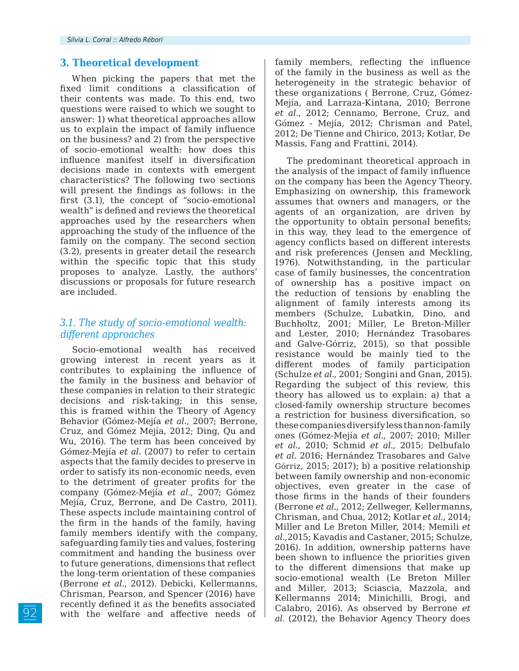### **3. Theoretical development**

When picking the papers that met the fixed limit conditions a classification of their contents was made. To this end, two questions were raised to which we sought to answer: 1) what theoretical approaches allow us to explain the impact of family influence on the business? and 2) from the perspective of socio-emotional wealth: how does this influence manifest itself in diversification decisions made in contexts with emergent characteristics? The following two sections will present the findings as follows: in the first (3.1), the concept of "socio-emotional wealth" is defined and reviews the theoretical approaches used by the researchers when approaching the study of the influence of the family on the company. The second section (3.2), presents in greater detail the research within the specific topic that this study proposes to analyze. Lastly, the authors' discussions or proposals for future research are included.

### *3.1. The study of socio-emotional wealth: different approaches*

Socio-emotional wealth has received growing interest in recent years as it contributes to explaining the influence of the family in the business and behavior of these companies in relation to their strategic decisions and risk-taking; in this sense, this is framed within the Theory of Agency Behavior (Gómez-Mejía *et al*., 2007; Berrone, Cruz, and Gómez Mejía, 2012; Ding, Qu and Wu, 2016). The term has been conceived by Gómez-Mejía *et al*. (2007) to refer to certain aspects that the family decides to preserve in order to satisfy its non-economic needs, even to the detriment of greater profits for the company (Gómez-Mejía *et al*., 2007; Gómez Mejía, Cruz, Berrone, and De Castro, 2011). These aspects include maintaining control of the firm in the hands of the family, having family members identify with the company, safeguarding family ties and values, fostering commitment and handing the business over to future generations, dimensions that reflect the long-term orientation of these companies (Berrone *et al*., 2012). Debicki, Kellermanns, Chrisman, Pearson, and Spencer (2016) have recently defined it as the benefits associated with the welfare and affective needs of family members, reflecting the influence of the family in the business as well as the heterogeneity in the strategic behavior of these organizations ( Berrone, Cruz, Gómez-Mejía, and Larraza-Kintana, 2010; Berrone *et al*., 2012; Cennamo, Berrone, Cruz, and Gómez ‐ Mejía, 2012; Chrisman and Patel, 2012; De Tienne and Chirico, 2013; Kotlar, De Massis, Fang and Frattini, 2014).

The predominant theoretical approach in the analysis of the impact of family influence on the company has been the Agency Theory. Emphasizing on ownership, this framework assumes that owners and managers, or the agents of an organization, are driven by the opportunity to obtain personal benefits; in this way, they lead to the emergence of agency conflicts based on different interests and risk preferences (Jensen and Meckling, 1976). Notwithstanding, in the particular case of family businesses, the concentration of ownership has a positive impact on the reduction of tensions by enabling the alignment of family interests among its members (Schulze, Lubatkin, Dino, and Buchholtz, 2001; Miller, Le Breton-Miller and Lester, 2010; Hernández Trasobares and Galve-Górriz, 2015), so that possible resistance would be mainly tied to the different modes of family participation (Schulze *et al.,* 2001; Songini and Gnan, 2015). Regarding the subject of this review, this theory has allowed us to explain: a) that a closed-family ownership structure becomes a restriction for business diversification, so these companies diversify less than non-family ones (Gómez-Mejía *et al*., 2007; 2010; Miller *et al*., 2010; Schmid *et al.,* 2015; Delbufalo *et al*. 2016; Hernández Trasobares and Galve Górriz, 2015; 2017); b) a positive relationship between family ownership and non-economic objectives, even greater in the case of those firms in the hands of their founders (Berrone *et al*., 2012; Zellweger, Kellermanns, Chrisman, and Chua, 2012; Kotlar *et al.*, 2014; Miller and Le Breton Miller, 2014; Memili *et al*.,2015; Kavadis and Castaner, 2015; Schulze, 2016). In addition, ownership patterns have been shown to influence the priorities given to the different dimensions that make up socio-emotional wealth (Le Breton Miller and Miller, 2013; Sciascia, Mazzola, and Kellermanns 2014; Minichilli, Brogi, and Calabro, 2016). As observed by Berrone *et al*. (2012), the Behavior Agency Theory does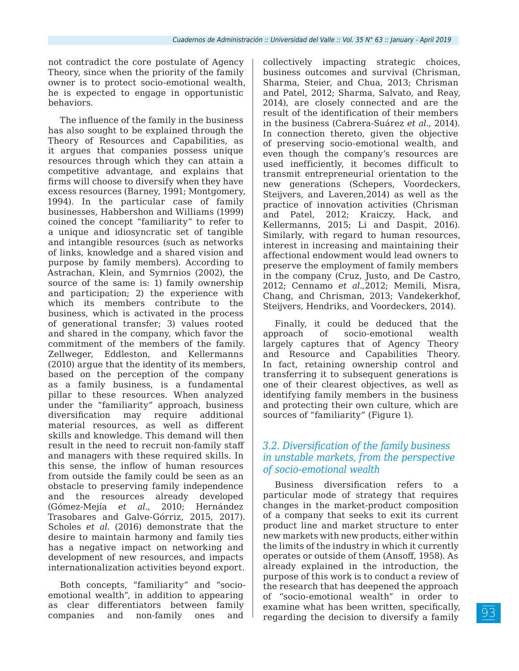not contradict the core postulate of Agency Theory, since when the priority of the family owner is to protect socio-emotional wealth, he is expected to engage in opportunistic behaviors.

The influence of the family in the business has also sought to be explained through the Theory of Resources and Capabilities, as it argues that companies possess unique resources through which they can attain a competitive advantage, and explains that firms will choose to diversify when they have excess resources (Barney, 1991; Montgomery, 1994). In the particular case of family businesses, Habbershon and Williams (1999) coined the concept "familiarity" to refer to a unique and idiosyncratic set of tangible and intangible resources (such as networks of links, knowledge and a shared vision and purpose by family members). According to Astrachan, Klein, and Symrnios (2002), the source of the same is: 1) family ownership and participation; 2) the experience with which its members contribute to the business, which is activated in the process of generational transfer; 3) values rooted and shared in the company, which favor the commitment of the members of the family. Zellweger, Eddleston, and Kellermanns (2010) argue that the identity of its members, based on the perception of the company as a family business, is a fundamental pillar to these resources. When analyzed under the "familiarity" approach, business diversification may require additional material resources, as well as different skills and knowledge. This demand will then result in the need to recruit non-family staff and managers with these required skills. In this sense, the inflow of human resources from outside the family could be seen as an obstacle to preserving family independence and the resources already developed (Gómez-Mejía *et al*., 2010; Hernández Trasobares and Galve-Górriz, 2015, 2017). Scholes *et al.* (2016) demonstrate that the desire to maintain harmony and family ties has a negative impact on networking and development of new resources, and impacts internationalization activities beyond export.

Both concepts, "familiarity" and "socioemotional wealth", in addition to appearing as clear differentiators between family companies and non-family ones and

collectively impacting strategic choices, business outcomes and survival (Chrisman, Sharma, Steier, and Chua, 2013; Chrisman and Patel, 2012; Sharma, Salvato, and Reay, 2014), are closely connected and are the result of the identification of their members in the business (Cabrera-Suárez *et al*., 2014). In connection thereto, given the objective of preserving socio-emotional wealth, and even though the company's resources are used inefficiently, it becomes difficult to transmit entrepreneurial orientation to the new generations (Schepers, Voordeckers, Steijvers, and Laveren,2014) as well as the practice of innovation activities (Chrisman and Patel, 2012; Kraiczy, Hack, and Kellermanns, 2015; Li and Daspit, 2016). Similarly, with regard to human resources, interest in increasing and maintaining their affectional endowment would lead owners to preserve the employment of family members in the company (Cruz, Justo, and De Castro, 2012; Cennamo *et al.,*2012; Memili, Misra, Chang, and Chrisman, 2013; Vandekerkhof, Steijvers, Hendriks, and Voordeckers, 2014).

Finally, it could be deduced that the approach of socio-emotional wealth largely captures that of Agency Theory and Resource and Capabilities Theory. In fact, retaining ownership control and transferring it to subsequent generations is one of their clearest objectives, as well as identifying family members in the business and protecting their own culture, which are sources of "familiarity" (Figure 1).

# *3.2. Diversification of the family business in unstable markets, from the perspective of socio-emotional wealth*

Business diversification refers to a particular mode of strategy that requires changes in the market-product composition of a company that seeks to exit its current product line and market structure to enter new markets with new products, either within the limits of the industry in which it currently operates or outside of them (Ansoff, 1958). As already explained in the introduction, the purpose of this work is to conduct a review of the research that has deepened the approach of "socio-emotional wealth" in order to examine what has been written, specifically, regarding the decision to diversify a family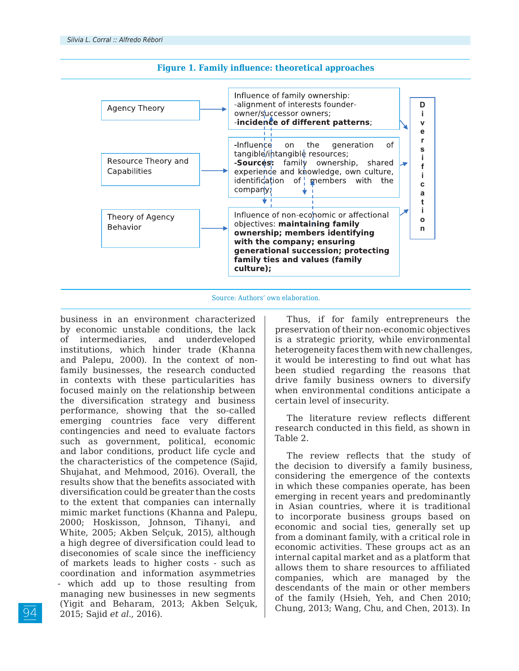

#### **Figure 1. Family influence: theoretical approaches**



business in an environment characterized by economic unstable conditions, the lack of intermediaries, and underdeveloped institutions, which hinder trade (Khanna and Palepu, 2000). In the context of nonfamily businesses, the research conducted in contexts with these particularities has focused mainly on the relationship between the diversification strategy and business performance, showing that the so-called emerging countries face very different contingencies and need to evaluate factors such as government, political, economic and labor conditions, product life cycle and the characteristics of the competence (Sajid, Shujahat, and Mehmood, 2016). Overall, the results show that the benefits associated with diversification could be greater than the costs to the extent that companies can internally mimic market functions (Khanna and Palepu, 2000; Hoskisson, Johnson, Tihanyi, and White, 2005; Akben Selçuk, 2015), although a high degree of diversification could lead to diseconomies of scale since the inefficiency of markets leads to higher costs - such as coordination and information asymmetries - which add up to those resulting from managing new businesses in new segments (Yigit and Beharam, 2013; Akben Selçuk, 2015; Sajid *et al*., 2016).

Thus, if for family entrepreneurs the preservation of their non-economic objectives is a strategic priority, while environmental heterogeneity faces them with new challenges, it would be interesting to find out what has been studied regarding the reasons that drive family business owners to diversify when environmental conditions anticipate a certain level of insecurity.

The literature review reflects different research conducted in this field, as shown in Table 2.

The review reflects that the study of the decision to diversify a family business, considering the emergence of the contexts in which these companies operate, has been emerging in recent years and predominantly in Asian countries, where it is traditional to incorporate business groups based on economic and social ties, generally set up from a dominant family, with a critical role in economic activities. These groups act as an internal capital market and as a platform that allows them to share resources to affiliated companies, which are managed by the descendants of the main or other members of the family (Hsieh, Yeh, and Chen 2010; Chung, 2013; Wang, Chu, and Chen, 2013). In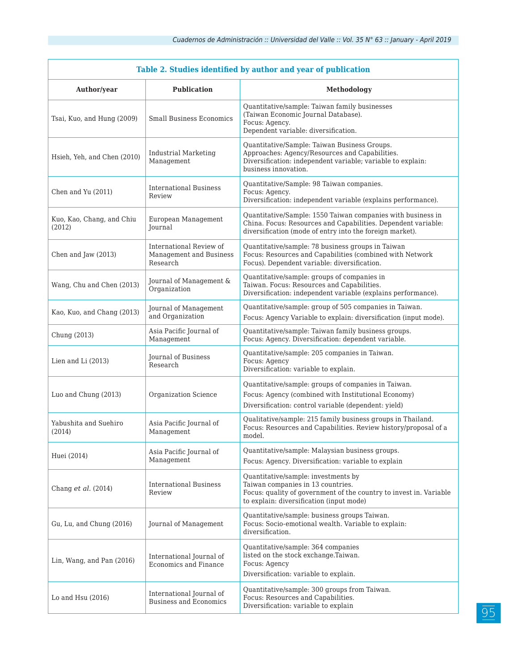| Table 2. Studies identified by author and year of publication |                                                                |                                                                                                                                                                                            |  |
|---------------------------------------------------------------|----------------------------------------------------------------|--------------------------------------------------------------------------------------------------------------------------------------------------------------------------------------------|--|
| Author/year                                                   | <b>Publication</b>                                             | Methodology                                                                                                                                                                                |  |
| Tsai, Kuo, and Hung (2009)                                    | <b>Small Business Economics</b>                                | Quantitative/sample: Taiwan family businesses<br>(Taiwan Economic Journal Database).<br>Focus: Agency.<br>Dependent variable: diversification.                                             |  |
| Hsieh, Yeh, and Chen (2010)                                   | <b>Industrial Marketing</b><br>Management                      | Quantitative/Sample: Taiwan Business Groups.<br>Approaches: Agency/Resources and Capabilities.<br>Diversification: independent variable; variable to explain:<br>business innovation.      |  |
| Chen and Yu (2011)                                            | <b>International Business</b><br>Review                        | Quantitative/Sample: 98 Taiwan companies.<br>Focus: Agency.<br>Diversification: independent variable (explains performance).                                                               |  |
| Kuo, Kao, Chang, and Chiu<br>(2012)                           | European Management<br><b>Journal</b>                          | Quantitative/Sample: 1550 Taiwan companies with business in<br>China. Focus: Resources and Capabilities. Dependent variable:<br>diversification (mode of entry into the foreign market).   |  |
| Chen and Jaw (2013)                                           | International Review of<br>Management and Business<br>Research | Quantitative/sample: 78 business groups in Taiwan<br>Focus: Resources and Capabilities (combined with Network<br>Focus). Dependent variable: diversification.                              |  |
| Wang, Chu and Chen (2013)                                     | Journal of Management &<br>Organization                        | Quantitative/sample: groups of companies in<br>Taiwan. Focus: Resources and Capabilities.<br>Diversification: independent variable (explains performance).                                 |  |
| Kao, Kuo, and Chang (2013)                                    | Journal of Management<br>and Organization                      | Quantitative/sample: group of 505 companies in Taiwan.<br>Focus: Agency Variable to explain: diversification (input mode).                                                                 |  |
| Chung (2013)                                                  | Asia Pacific Journal of<br>Management                          | Quantitative/sample: Taiwan family business groups.<br>Focus: Agency. Diversification: dependent variable.                                                                                 |  |
| Lien and Li (2013)                                            | <b>Journal of Business</b><br>Research                         | Quantitative/sample: 205 companies in Taiwan.<br>Focus: Agency<br>Diversification: variable to explain.                                                                                    |  |
| Luo and Chung (2013)                                          | Organization Science                                           | Quantitative/sample: groups of companies in Taiwan.<br>Focus: Agency (combined with Institutional Economy)<br>Diversification: control variable (dependent: yield)                         |  |
| Yabushita and Suehiro<br>(2014)                               | Asia Pacific Journal of<br>Management                          | Qualitative/sample: 215 family business groups in Thailand.<br>Focus: Resources and Capabilities. Review history/proposal of a<br>model.                                                   |  |
| Huei (2014)                                                   | Asia Pacific Journal of<br>Management                          | Quantitative/sample: Malaysian business groups.<br>Focus: Agency. Diversification: variable to explain                                                                                     |  |
| Chang et al. (2014)                                           | <b>International Business</b><br>Review                        | Quantitative/sample: investments by<br>Taiwan companies in 13 countries.<br>Focus: quality of government of the country to invest in. Variable<br>to explain: diversification (input mode) |  |
| Gu, Lu, and Chung (2016)                                      | Journal of Management                                          | Quantitative/sample: business groups Taiwan.<br>Focus: Socio-emotional wealth. Variable to explain:<br>diversification.                                                                    |  |
| Lin, Wang, and Pan (2016)                                     | International Journal of<br>Economics and Finance              | Quantitative/sample: 364 companies<br>listed on the stock exchange.Taiwan.<br>Focus: Agency<br>Diversification: variable to explain.                                                       |  |
| Lo and Hsu (2016)                                             | International Journal of<br><b>Business and Economics</b>      | Quantitative/sample: 300 groups from Taiwan.<br>Focus: Resources and Capabilities.<br>Diversification: variable to explain                                                                 |  |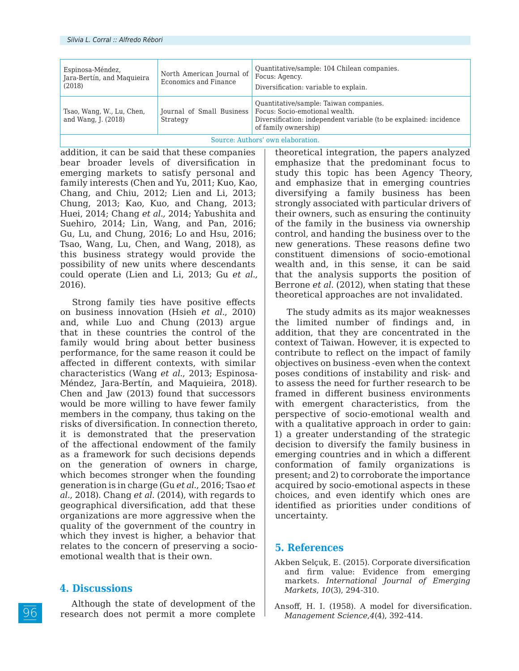| Espinosa-Méndez,<br>Jara-Bertín, and Maquieira<br>(2018) | North American Journal of<br>Economics and Finance | Quantitative/sample: 104 Chilean companies.<br>Focus: Agency.<br>Diversification: variable to explain.                                                                                            |  |
|----------------------------------------------------------|----------------------------------------------------|---------------------------------------------------------------------------------------------------------------------------------------------------------------------------------------------------|--|
| Tsao, Wang, W., Lu, Chen,<br>and Wang, J. (2018)         | Strategy                                           | Quantitative/sample: Taiwan companies.<br>Journal of Small Business   Focus: Socio-emotional wealth.<br>Diversification: independent variable (to be explained: incidence<br>of family ownership) |  |
| $\cdots$<br>$\sim$                                       |                                                    |                                                                                                                                                                                                   |  |

Source: Authors' own elaboration.

addition, it can be said that these companies bear broader levels of diversification in emerging markets to satisfy personal and family interests (Chen and Yu, 2011; Kuo, Kao, Chang, and Chiu, 2012; Lien and Li, 2013; Chung, 2013; Kao, Kuo, and Chang, 2013; Huei, 2014; Chang *et al.,* 2014; Yabushita and Suehiro, 2014; Lin, Wang, and Pan, 2016; Gu, Lu, and Chung, 2016; Lo and Hsu, 2016; Tsao, Wang, Lu, Chen, and Wang, 2018), as this business strategy would provide the possibility of new units where descendants could operate (Lien and Li, 2013; Gu *et al.,* 2016).

Strong family ties have positive effects on business innovation (Hsieh *et al*., 2010) and, while Luo and Chung (2013) argue that in these countries the control of the family would bring about better business performance, for the same reason it could be affected in different contexts, with similar characteristics (Wang *et al.*, 2013; Espinosa-Méndez, Jara-Bertín, and Maquieira, 2018). Chen and Jaw (2013) found that successors would be more willing to have fewer family members in the company, thus taking on the risks of diversification. In connection thereto, it is demonstrated that the preservation of the affectional endowment of the family as a framework for such decisions depends on the generation of owners in charge, which becomes stronger when the founding generation is in charge (Gu *et al.*, 2016; Tsao *et al*., 2018). Chang *et al*. (2014), with regards to geographical diversification, add that these organizations are more aggressive when the quality of the government of the country in which they invest is higher, a behavior that relates to the concern of preserving a socioemotional wealth that is their own.

# **4. Discussions**

Although the state of development of the research does not permit a more complete theoretical integration, the papers analyzed emphasize that the predominant focus to study this topic has been Agency Theory, and emphasize that in emerging countries diversifying a family business has been strongly associated with particular drivers of their owners, such as ensuring the continuity of the family in the business via ownership control, and handing the business over to the new generations. These reasons define two constituent dimensions of socio-emotional wealth and, in this sense, it can be said that the analysis supports the position of Berrone *et al*. (2012), when stating that these theoretical approaches are not invalidated.

The study admits as its major weaknesses the limited number of findings and, in addition, that they are concentrated in the context of Taiwan. However, it is expected to contribute to reflect on the impact of family objectives on business -even when the context poses conditions of instability and risk- and to assess the need for further research to be framed in different business environments with emergent characteristics, from the perspective of socio-emotional wealth and with a qualitative approach in order to gain: 1) a greater understanding of the strategic decision to diversify the family business in emerging countries and in which a different conformation of family organizations is present; and 2) to corroborate the importance acquired by socio-emotional aspects in these choices, and even identify which ones are identified as priorities under conditions of uncertainty.

#### **5. References**

- Akben Selçuk, E. (2015). Corporate diversification and firm value: Evidence from emerging markets. *International Journal of Emerging Markets*, *10*(3), 294-310.
- Ansoff, H. I. (1958). A model for diversification. *Management Science*,*4*(4), 392-414.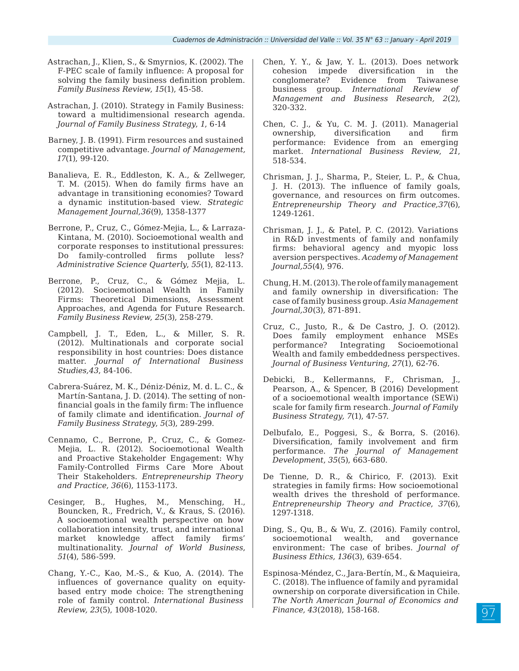- Astrachan, J., Klien, S., & Smyrnios, K. (2002). The F-PEC scale of family influence: A proposal for solving the family business definition problem. *Family Business Review*, *15*(1), 45-58.
- Astrachan, J. (2010). Strategy in Family Business: toward a multidimensional research agenda. *Journal of Family Business Strategy*, *1*, 6-14
- Barney, J. B. (1991). Firm resources and sustained competitive advantage. *Journal of Management, 17*(1), 99-120.
- Banalieva, E. R., Eddleston, K. A., & Zellweger, T. M. (2015). When do family firms have an advantage in transitioning economies? Toward a dynamic institution‐based view. *Strategic Management Journal,36*(9), 1358-1377
- Berrone, P., Cruz, C., Gómez-Mejia, L., & Larraza-Kintana, M. (2010). Socioemotional wealth and corporate responses to institutional pressures: Do family-controlled firms pollute less? *Administrative Science Quarterly*, *55*(1), 82-113.
- Berrone, P., Cruz, C., & Gómez Mejia, L. (2012). Socioemotional Wealth in Family Firms: Theoretical Dimensions, Assessment Approaches, and Agenda for Future Research. *Family Business Review, 25*(3), 258-279.
- Campbell, J. T., Eden, L., & Miller, S. R. (2012). Multinationals and corporate social responsibility in host countries: Does distance matter. *Journal of International Business Studies,43*, 84-106.
- Cabrera-Suárez, M. K., Déniz-Déniz, M. d. L. C., & Martín-Santana, J. D. (2014). The setting of nonfinancial goals in the family firm: The influence of family climate and identification. *Journal of Family Business Strategy*, *5*(3), 289-299.
- Cennamo, C., Berrone, P., Cruz, C., & Gomez‐ Mejia, L. R. (2012). Socioemotional Wealth and Proactive Stakeholder Engagement: Why Family‐Controlled Firms Care More About Their Stakeholders. *Entrepreneurship Theory and Practice*, *36*(6), 1153-1173.
- Cesinger, B., Hughes, M., Mensching, H., Bouncken, R., Fredrich, V., & Kraus, S. (2016). A socioemotional wealth perspective on how collaboration intensity, trust, and international market knowledge affect family firms' multinationality. *Journal of World Business*, *51*(4), 586-599.
- Chang, Y.-C., Kao, M.-S., & Kuo, A. (2014). The influences of governance quality on equitybased entry mode choice: The strengthening role of family control. *International Business Review, 23*(5), 1008-1020.
- Chen, Y. Y., & Jaw, Y. L. (2013). Does network cohesion impede diversification in the conglomerate? Evidence from Taiwanese business group. *International Review of Management and Business Research, 2*(2), 320-332.
- Chen, C. J., & Yu, C. M. J. (2011). Managerial ownership, diversification and firm performance: Evidence from an emerging market. *International Business Review*, *21*, 518-534.
- Chrisman, J. J., Sharma, P., Steier, L. P., & Chua, J. H. (2013). The influence of family goals, governance, and resources on firm outcomes. *Entrepreneurship Theory and Practice,37*(6), 1249-1261.
- Chrisman, J. J., & Patel, P. C. (2012). Variations in R&D investments of family and nonfamily firms: behavioral agency and myopic loss aversion perspectives. *Academy of Management Journal,55*(4), 976.
- Chung, H. M. (2013). The role of family management and family ownership in diversification: The case of family business group. *Asia Management Journal,30*(3), 871-891.
- Cruz, C., Justo, R., & De Castro, J. O. (2012). Does family employment enhance MSEs<br>performance? Integrating Socioemotional Integrating Socioemotional Wealth and family embeddedness perspectives. *Journal of Business Venturing*, *27*(1), 62-76.
- Debicki, B., Kellermanns, F., Chrisman, J., Pearson, A., & Spencer, B (2016) Development of a socioemotional wealth importance (SEWi) scale for family firm research. *Journal of Family Business Strategy, 7*(1), 47-57.
- Delbufalo, E., Poggesi, S., & Borra, S. (2016). Diversification, family involvement and firm performance. *The Journal of Management Development*, *35*(5), 663-680.
- De Tienne, D. R., & Chirico, F. (2013). Exit strategies in family firms: How socioemotional wealth drives the threshold of performance. *Entrepreneurship Theory and Practice*, *37*(6), 1297-1318.
- Ding, S., Qu, B., & Wu, Z. (2016). Family control, socioemotional wealth, and governance environment: The case of bribes. *Journal of Business Ethics, 136*(3), 639-654.
- Espinosa-Méndez, C., Jara-Bertín, M., & Maquieira, C. (2018). The influence of family and pyramidal ownership on corporate diversification in Chile. *The North American Journal of Economics and Finance, 43*(2018), 158-168.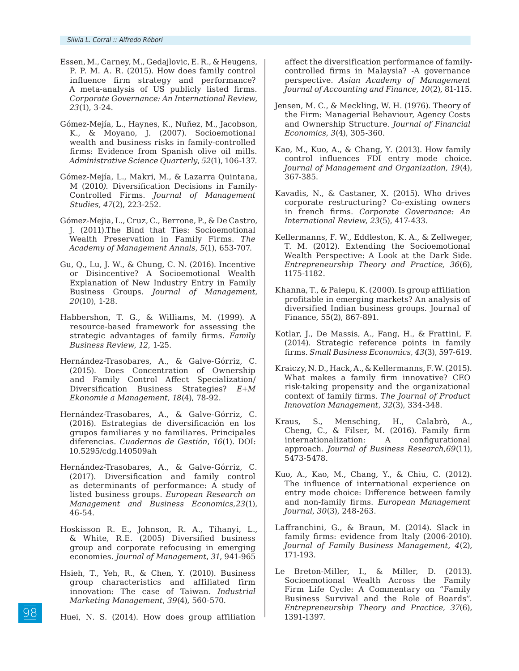- Essen, M., Carney, M., Gedajlovic, E. R., & Heugens, P. P. M. A. R. (2015). How does family control influence firm strategy and performance? A meta-analysis of US publicly listed firms. *Corporate Governance: An International Review*, *23*(1), 3-24.
- Gómez-Mejía, L., Haynes, K., Nuñez, M., Jacobson, K., & Moyano, J. (2007). Socioemotional wealth and business risks in family-controlled firms: Evidence from Spanish olive oil mills. *Administrative Science Quarterly*, *52*(1), 106-137.
- Gómez-Mejía, L., Makri, M., & Lazarra Quintana, M (2010*).* Diversification Decisions in Family-Controlled Firms*. Journal of Management Studies, 47*(2), 223-252.
- Gómez-Mejia, L., Cruz, C., Berrone, P., & De Castro, J. (2011).The Bind that Ties: Socioemotional Wealth Preservation in Family Firms. *The Academy of Management Annals*, *5*(1), 653-707.
- Gu, Q., Lu, J. W., & Chung, C. N. (2016). Incentive or Disincentive? A Socioemotional Wealth Explanation of New Industry Entry in Family Business Groups. *Journal of Management, 20*(10), 1-28.
- Habbershon, T. G., & Williams, M. (1999). A resource-based framework for assessing the strategic advantages of family firms. *Family Business Review*, *12*, 1-25.
- Hernández-Trasobares, A., & Galve-Górriz, C. (2015). Does Concentration of Ownership and Family Control Affect Specialization/ Diversification Business Strategies? *E+M Ekonomie a Management, 18*(4), 78-92.
- Hernández-Trasobares, A., & Galve-Górriz, C. (2016). Estrategias de diversificación en los grupos familiares y no familiares. Principales diferencias. *Cuadernos de Gestión*, *16*(1). DOI: 10.5295/cdg.140509ah
- Hernández-Trasobares, A., & Galve-Górriz, C. (2017). Diversification and family control as determinants of performance: A study of listed business groups. *European Research on Management and Business Economics,23*(1), 46-54.
- Hoskisson R. E., Johnson, R. A., Tihanyi, L., & White, R.E. (2005) Diversified business group and corporate refocusing in emerging economies. *Journal of Management*, *31*, 941-965
- Hsieh, T., Yeh, R., & Chen, Y. (2010). Business group characteristics and affiliated firm innovation: The case of Taiwan. *Industrial Marketing Management*, *39*(4), 560-570.
- Huei, N. S. (2014). How does group affiliation

affect the diversification performance of familycontrolled firms in Malaysia? -A governance perspective. *Asian Academy of Management Journal of Accounting and Finance, 10*(2), 81-115.

- Jensen, M. C., & Meckling, W. H. (1976). Theory of the Firm: Managerial Behaviour, Agency Costs and Ownership Structure. *Journal of Financial Economics, 3*(4), 305-360.
- Kao, M., Kuo, A., & Chang, Y. (2013). How family control influences FDI entry mode choice. *Journal of Management and Organization, 19*(4), 367-385.
- Kavadis, N., & Castaner, X. (2015). Who drives corporate restructuring? Co-existing owners in french firms. *Corporate Governance: An International Review*, *23*(5), 417-433.
- Kellermanns, F. W., Eddleston, K. A., & Zellweger, T. M. (2012). Extending the Socioemotional Wealth Perspective: A Look at the Dark Side. *Entrepreneurship Theory and Practice, 36*(6), 1175-1182.
- Khanna, T., & Palepu, K. (2000). Is group affiliation profitable in emerging markets? An analysis of diversified Indian business groups. Journal of Finance, 55(2), 867-891.
- Kotlar, J., De Massis, A., Fang, H., & Frattini, F. (2014). Strategic reference points in family firms. *Small Business Economics, 43*(3), 597-619.
- Kraiczy, N. D., Hack, A., & Kellermanns, F. W. (2015). What makes a family firm innovative? CEO risk-taking propensity and the organizational context of family firms. *The Journal of Product Innovation Management*, *32*(3), 334-348.
- Kraus, S., Mensching, H., Calabrò, A., Cheng, C., & Filser, M. (2016). Family firm internationalization: A configurational approach. *Journal of Business Research*,*69*(11), 5473-5478.
- Kuo, A., Kao, M., Chang, Y., & Chiu, C. (2012). The influence of international experience on entry mode choice: Difference between family and non-family firms. *European Management Journal*, *30*(3), 248-263.
- Laffranchini, G., & Braun, M. (2014). Slack in family firms: evidence from Italy (2006-2010). *Journal of Family Business Management*, *4*(2), 171-193.
- Le Breton-Miller, I., & Miller, D. (2013). Socioemotional Wealth Across the Family Firm Life Cycle: A Commentary on "Family Business Survival and the Role of Boards". *Entrepreneurship Theory and Practice*, *37*(6), 1391-1397.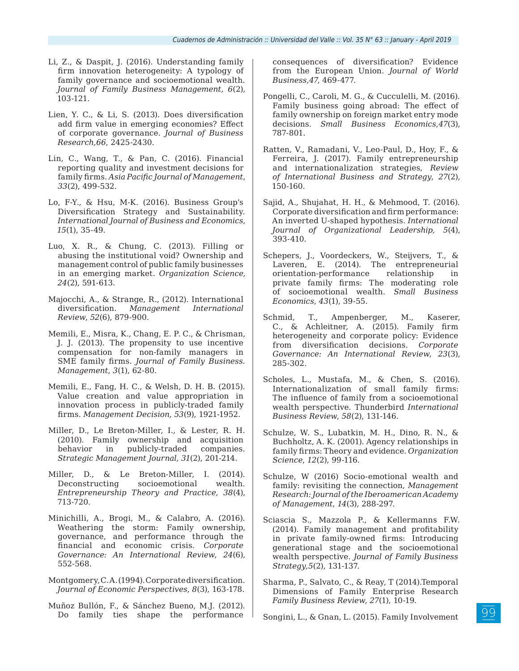- Li, Z., & Daspit, J. (2016). Understanding family firm innovation heterogeneity: A typology of family governance and socioemotional wealth. *Journal of Family Business Management, 6*(2), 103-121.
- Lien, Y. C., & Li, S. (2013). Does diversification add firm value in emerging economies? Effect of corporate governance. *Journal of Business Research,66*, 2425-2430.
- Lin, C., Wang, T., & Pan, C. (2016). Financial reporting quality and investment decisions for family firms. *Asia Pacific Journal of Management*, *33*(2), 499-532.
- Lo, F-Y., & Hsu, M-K. (2016). Business Group's Diversification Strategy and Sustainability. *International Journal of Business and Economics*, *15*(1), 35-49.
- Luo, X. R., & Chung, C. (2013). Filling or abusing the institutional void? Ownership and management control of public family businesses in an emerging market. *Organization Science, 24*(2), 591-613.
- Majocchi, A., & Strange, R., (2012). International diversification. *Management International Review*, *52*(6), 879-900.
- Memili, E., Misra, K., Chang, E. P. C., & Chrisman, J. J. (2013). The propensity to use incentive compensation for non-family managers in SME family firms. *Journal of Family Business. Management*, *3*(1), 62-80.
- Memili, E., Fang, H. C., & Welsh, D. H. B. (2015). Value creation and value appropriation in innovation process in publicly-traded family firms. *Management Decision*, *53*(9), 1921-1952.
- Miller, D., Le Breton-Miller, I., & Lester, R. H. (2010). Family ownership and acquisition behavior in publicly-traded companies. *Strategic Management Journal, 31*(2), 201-214.
- Miller, D., & Le Breton-Miller, I. (2014). Deconstructing socioemotional wealth. *Entrepreneurship Theory and Practice, 38*(4), 713-720.
- Minichilli, A., Brogi, M., & Calabro, A. (2016). Weathering the storm: Family ownership, governance, and performance through the financial and economic crisis. *Corporate Governance: An International Review*, *24*(6), 552-568.
- Montgomery, C. A. (1994). Corporate diversification. *Journal of Economic Perspectives*, *8*(3), 163-178.
- Muñoz Bullón, F., & Sánchez Bueno, M.J. (2012). Do family ties shape the performance

consequences of diversification? Evidence from the European Union. *Journal of World Business*,*47*, 469-477.

- Pongelli, C., Caroli, M. G., & Cucculelli, M. (2016). Family business going abroad: The effect of family ownership on foreign market entry mode decisions. *Small Business Economics,47*(3), 787-801.
- Ratten, V., Ramadani, V., Leo-Paul, D., Hoy, F., & Ferreira, J. (2017). Family entrepreneurship and internationalization strategies, *Review of International Business and Strategy*, *27*(2), 150-160.
- Sajid, A., Shujahat, H. H., & Mehmood, T. (2016). Corporate diversification and firm performance: An inverted U-shaped hypothesis. *International Journal of Organizational Leadership, 5*(4), 393-410.
- Schepers, J., Voordeckers, W., Steijvers, T., & Laveren, E. (2014). The entrepreneurial orientation-performance relationship in private family firms: The moderating role of socioemotional wealth. *Small Business Economics*, *43*(1), 39-55.
- Schmid, T., Ampenberger, M., Kaserer, C., & Achleitner, A. (2015). Family firm heterogeneity and corporate policy: Evidence from diversification decisions. *Corporate Governance: An International Review*, *23*(3), 285-302.
- Scholes, L., Mustafa, M., & Chen, S. (2016). Internationalization of small family firms: The influence of family from a socioemotional wealth perspective. Thunderbird *International Business Review*, *58*(2), 131-146.
- Schulze, W. S., Lubatkin, M. H., Dino, R. N., & Buchholtz, A. K. (2001). Agency relationships in family firms: Theory and evidence. *Organization Science*, *12*(2), 99-116.
- Schulze, W (2016) Socio-emotional wealth and family: revisiting the connection, *Management Research: Journal of the Iberoamerican Academy of Management*, *14*(3), 288-297.
- Sciascia S., Mazzola P., & Kellermanns F.W. (2014). Family management and profitability in private family-owned firms: Introducing generational stage and the socioemotional wealth perspective. *Journal of Family Business Strategy,5*(2), 131-137.
- Sharma, P., Salvato, C., & Reay, T (2014).Temporal Dimensions of Family Enterprise Research *Family Business Review, 27*(1), 10-19.
- Songini, L., & Gnan, L. (2015). Family Involvement